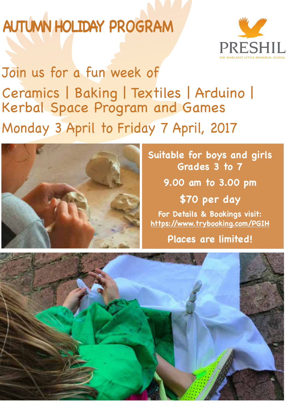## **AUTUMN HOLIDAY PROGRAM**



Join us for a fun week of Ceramics | Baking | Textiles | Arduino | Kerbal Space Program and Games Monday 3 April to Friday 7 April, 2017



## **Suitable for boys and girls Grades 3 to 7 9.00 am to 3.00 pm**

**\$70 per day For Details & Bookings visit: https://www.trybooking.com/PGIH**

**Places are limited!**